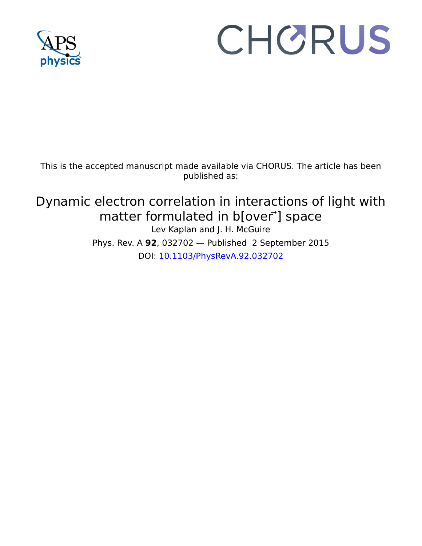

# CHORUS

This is the accepted manuscript made available via CHORUS. The article has been published as:

Dynamic electron correlation in interactions of light with matter formulated in b[over<sup>-</sup>] space Lev Kaplan and J. H. McGuire Phys. Rev. A **92**, 032702 — Published 2 September 2015 DOI: [10.1103/PhysRevA.92.032702](http://dx.doi.org/10.1103/PhysRevA.92.032702)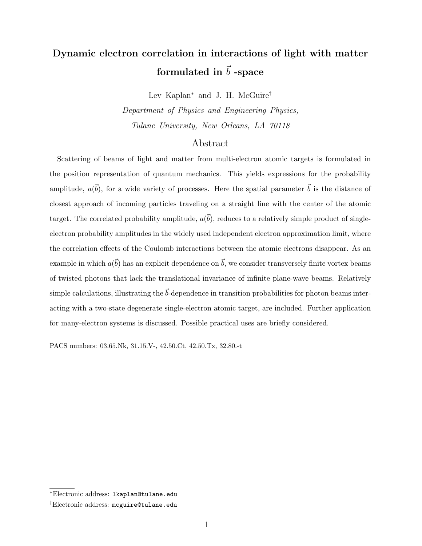# Dynamic electron correlation in interactions of light with matter formulated in  $\vec{b}$  -space

Lev Kaplan<sup>∗</sup> and J. H. McGuire†

Department of Physics and Engineering Physics, Tulane University, New Orleans, LA 70118

## Abstract

Scattering of beams of light and matter from multi-electron atomic targets is formulated in the position representation of quantum mechanics. This yields expressions for the probability amplitude,  $a(\vec{b})$ , for a wide variety of processes. Here the spatial parameter  $\vec{b}$  is the distance of closest approach of incoming particles traveling on a straight line with the center of the atomic target. The correlated probability amplitude,  $a(\vec{b})$ , reduces to a relatively simple product of singleelectron probability amplitudes in the widely used independent electron approximation limit, where the correlation effects of the Coulomb interactions between the atomic electrons disappear. As an example in which  $a(\vec{b})$  has an explicit dependence on  $\vec{b}$ , we consider transversely finite vortex beams of twisted photons that lack the translational invariance of infinite plane-wave beams. Relatively simple calculations, illustrating the  $\vec{b}$ -dependence in transition probabilities for photon beams interacting with a two-state degenerate single-electron atomic target, are included. Further application for many-electron systems is discussed. Possible practical uses are briefly considered.

PACS numbers: 03.65.Nk, 31.15.V-, 42.50.Ct, 42.50.Tx, 32.80.-t

<sup>∗</sup>Electronic address: lkaplan@tulane.edu

<sup>†</sup>Electronic address: mcguire@tulane.edu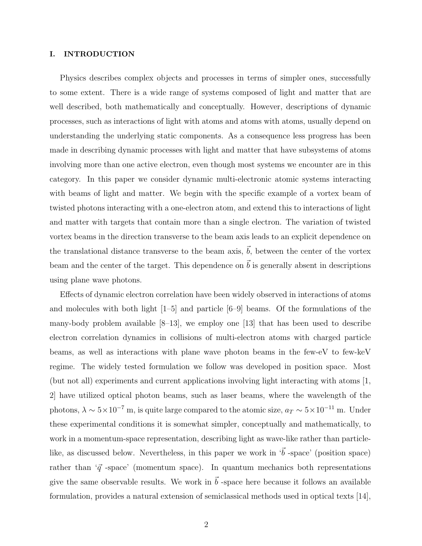### I. INTRODUCTION

Physics describes complex objects and processes in terms of simpler ones, successfully to some extent. There is a wide range of systems composed of light and matter that are well described, both mathematically and conceptually. However, descriptions of dynamic processes, such as interactions of light with atoms and atoms with atoms, usually depend on understanding the underlying static components. As a consequence less progress has been made in describing dynamic processes with light and matter that have subsystems of atoms involving more than one active electron, even though most systems we encounter are in this category. In this paper we consider dynamic multi-electronic atomic systems interacting with beams of light and matter. We begin with the specific example of a vortex beam of twisted photons interacting with a one-electron atom, and extend this to interactions of light and matter with targets that contain more than a single electron. The variation of twisted vortex beams in the direction transverse to the beam axis leads to an explicit dependence on the translational distance transverse to the beam axis,  $\vec{b}$ , between the center of the vortex beam and the center of the target. This dependence on  $\vec{b}$  is generally absent in descriptions using plane wave photons.

Effects of dynamic electron correlation have been widely observed in interactions of atoms and molecules with both light [1–5] and particle [6–9] beams. Of the formulations of the many-body problem available [8–13], we employ one [13] that has been used to describe electron correlation dynamics in collisions of multi-electron atoms with charged particle beams, as well as interactions with plane wave photon beams in the few-eV to few-keV regime. The widely tested formulation we follow was developed in position space. Most (but not all) experiments and current applications involving light interacting with atoms [1, 2] have utilized optical photon beams, such as laser beams, where the wavelength of the photons,  $\lambda \sim 5 \times 10^{-7}$  m, is quite large compared to the atomic size,  $a_T \sim 5 \times 10^{-11}$  m. Under these experimental conditions it is somewhat simpler, conceptually and mathematically, to work in a momentum-space representation, describing light as wave-like rather than particlelike, as discussed below. Nevertheless, in this paper we work in  $\vec{b}$  -space' (position space) rather than ' $\vec{q}$  -space' (momentum space). In quantum mechanics both representations give the same observable results. We work in  $\vec{b}$  -space here because it follows an available formulation, provides a natural extension of semiclassical methods used in optical texts [14],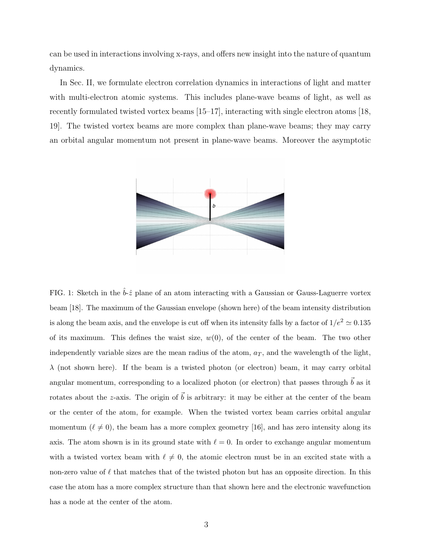can be used in interactions involving x-rays, and offers new insight into the nature of quantum dynamics.

In Sec. II, we formulate electron correlation dynamics in interactions of light and matter with multi-electron atomic systems. This includes plane-wave beams of light, as well as recently formulated twisted vortex beams [15–17], interacting with single electron atoms [18, 19]. The twisted vortex beams are more complex than plane-wave beams; they may carry an orbital angular momentum not present in plane-wave beams. Moreover the asymptotic



FIG. 1: Sketch in the  $\hat{b}$ - $\hat{z}$  plane of an atom interacting with a Gaussian or Gauss-Laguerre vortex beam [18]. The maximum of the Gaussian envelope (shown here) of the beam intensity distribution is along the beam axis, and the envelope is cut off when its intensity falls by a factor of  $1/e^2 \approx 0.135$ of its maximum. This defines the waist size,  $w(0)$ , of the center of the beam. The two other independently variable sizes are the mean radius of the atom,  $a_T$ , and the wavelength of the light,  $\lambda$  (not shown here). If the beam is a twisted photon (or electron) beam, it may carry orbital angular momentum, corresponding to a localized photon (or electron) that passes through  $\vec{b}$  as it rotates about the z-axis. The origin of  $\vec{b}$  is arbitrary: it may be either at the center of the beam or the center of the atom, for example. When the twisted vortex beam carries orbital angular momentum ( $\ell \neq 0$ ), the beam has a more complex geometry [16], and has zero intensity along its axis. The atom shown is in its ground state with  $\ell = 0$ . In order to exchange angular momentum with a twisted vortex beam with  $\ell \neq 0$ , the atomic electron must be in an excited state with a non-zero value of  $\ell$  that matches that of the twisted photon but has an opposite direction. In this case the atom has a more complex structure than that shown here and the electronic wavefunction has a node at the center of the atom.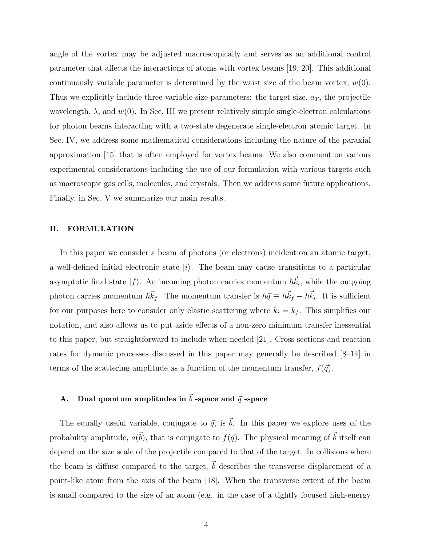angle of the vortex may be adjusted macroscopically and serves as an additional control parameter that affects the interactions of atoms with vortex beams [19, 20]. This additional continuously variable parameter is determined by the waist size of the beam vortex,  $w(0)$ . Thus we explicitly include three variable-size parameters: the target size,  $a_T$ , the projectile wavelength,  $\lambda$ , and  $w(0)$ . In Sec. III we present relatively simple single-electron calculations for photon beams interacting with a two-state degenerate single-electron atomic target. In Sec. IV, we address some mathematical considerations including the nature of the paraxial approximation [15] that is often employed for vortex beams. We also comment on various experimental considerations including the use of our formulation with various targets such as macroscopic gas cells, molecules, and crystals. Then we address some future applications. Finally, in Sec. V we summarize our main results.

## II. FORMULATION

In this paper we consider a beam of photons (or electrons) incident on an atomic target, a well-defined initial electronic state  $|i\rangle$ . The beam may cause transitions to a particular asymptotic final state  $|f\rangle$ . An incoming photon carries momentum  $\hbar \vec{k}_i$ , while the outgoing photon carries momentum  $\hbar \vec{k}_f$ . The momentum transfer is  $\hbar \vec{q} \equiv \hbar \vec{k}_f - \hbar \vec{k}_i$ . It is sufficient for our purposes here to consider only elastic scattering where  $k_i = k_f$ . This simplifies our notation, and also allows us to put aside effects of a non-zero minimum transfer inessential to this paper, but straightforward to include when needed [21]. Cross sections and reaction rates for dynamic processes discussed in this paper may generally be described [8–14] in terms of the scattering amplitude as a function of the momentum transfer,  $f(\vec{q})$ .

# A. Dual quantum amplitudes in  $\vec{b}$  -space and  $\vec{q}$  -space

The equally useful variable, conjugate to  $\vec{q}$ , is  $\vec{b}$ . In this paper we explore uses of the probability amplitude,  $a(\vec{b})$ , that is conjugate to  $f(\vec{q})$ . The physical meaning of  $\vec{b}$  itself can depend on the size scale of the projectile compared to that of the target. In collisions where the beam is diffuse compared to the target,  $\vec{b}$  describes the transverse displacement of a point-like atom from the axis of the beam [18]. When the transverse extent of the beam is small compared to the size of an atom (e.g. in the case of a tightly focused high-energy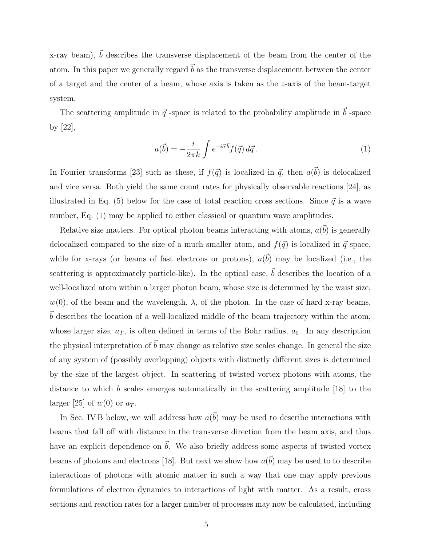x-ray beam),  $\vec{b}$  describes the transverse displacement of the beam from the center of the atom. In this paper we generally regard  $\vec{b}$  as the transverse displacement between the center of a target and the center of a beam, whose axis is taken as the z-axis of the beam-target system.

The scattering amplitude in  $\vec{q}$  -space is related to the probability amplitude in  $\vec{b}$  -space by [22],

$$
a(\vec{b}) = -\frac{i}{2\pi k} \int e^{-i\vec{q}\cdot\vec{b}} f(\vec{q}) d\vec{q}.
$$
 (1)

In Fourier transforms [23] such as these, if  $f(\vec{q})$  is localized in  $\vec{q}$ , then  $a(\vec{b})$  is delocalized and vice versa. Both yield the same count rates for physically observable reactions [24], as illustrated in Eq. (5) below for the case of total reaction cross sections. Since  $\vec{q}$  is a wave number, Eq. (1) may be applied to either classical or quantum wave amplitudes.

Relative size matters. For optical photon beams interacting with atoms,  $a(\vec{b})$  is generally delocalized compared to the size of a much smaller atom, and  $f(\vec{q})$  is localized in  $\vec{q}$  space, while for x-rays (or beams of fast electrons or protons),  $a(\vec{b})$  may be localized (i.e., the scattering is approximately particle-like). In the optical case,  $\vec{b}$  describes the location of a well-localized atom within a larger photon beam, whose size is determined by the waist size,  $w(0)$ , of the beam and the wavelength,  $\lambda$ , of the photon. In the case of hard x-ray beams,  $\vec{b}$  describes the location of a well-localized middle of the beam trajectory within the atom, whose larger size,  $a_T$ , is often defined in terms of the Bohr radius,  $a_0$ . In any description the physical interpretation of  $\vec{b}$  may change as relative size scales change. In general the size of any system of (possibly overlapping) objects with distinctly different sizes is determined by the size of the largest object. In scattering of twisted vortex photons with atoms, the distance to which b scales emerges automatically in the scattering amplitude [18] to the larger [25] of  $w(0)$  or  $a_T$ .

In Sec. IV B below, we will address how  $a(\vec{b})$  may be used to describe interactions with beams that fall off with distance in the transverse direction from the beam axis, and thus have an explicit dependence on  $\vec{b}$ . We also briefly address some aspects of twisted vortex beams of photons and electrons [18]. But next we show how  $a(\vec{b})$  may be used to to describe interactions of photons with atomic matter in such a way that one may apply previous formulations of electron dynamics to interactions of light with matter. As a result, cross sections and reaction rates for a larger number of processes may now be calculated, including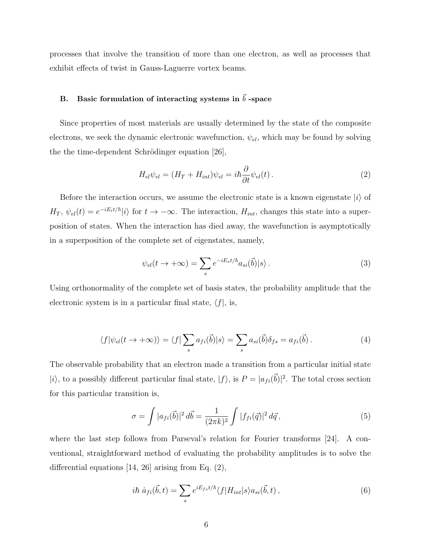processes that involve the transition of more than one electron, as well as processes that exhibit effects of twist in Gauss-Laguerre vortex beams.

# B. Basic formulation of interacting systems in  $\vec{b}$  -space

Since properties of most materials are usually determined by the state of the composite electrons, we seek the dynamic electronic wavefunction,  $\psi_{el}$ , which may be found by solving the the time-dependent Schrödinger equation  $[26]$ ,

$$
H_{el}\psi_{el} = (H_T + H_{int})\psi_{el} = i\hbar \frac{\partial}{\partial t}\psi_{el}(t). \tag{2}
$$

Before the interaction occurs, we assume the electronic state is a known eigenstate  $|i\rangle$  of  $H_T$ ,  $\psi_{el}(t) = e^{-iE_i t/\hbar} |i\rangle$  for  $t \to -\infty$ . The interaction,  $H_{int}$ , changes this state into a superposition of states. When the interaction has died away, the wavefunction is asymptotically in a superposition of the complete set of eigenstates, namely,

$$
\psi_{el}(t \to +\infty) = \sum_{s} e^{-iE_{s}t/\hbar} a_{si}(\vec{b}) |s\rangle.
$$
\n(3)

Using orthonormality of the complete set of basis states, the probability amplitude that the electronic system is in a particular final state,  $\langle f |$ , is,

$$
\langle f | \psi_{el}(t \to +\infty) \rangle = \langle f | \sum_s a_{fi}(\vec{b}) | s \rangle = \sum_s a_{si}(\vec{b}) \delta_{fs} = a_{fi}(\vec{b}) . \tag{4}
$$

The observable probability that an electron made a transition from a particular initial state  $|i\rangle$ , to a possibly different particular final state,  $|f\rangle$ , is  $P = |a_{fi}(\vec{b})|^2$ . The total cross section for this particular transition is,

$$
\sigma = \int |a_{fi}(\vec{b})|^2 d\vec{b} = \frac{1}{(2\pi k)^2} \int |f_{fi}(\vec{q})|^2 d\vec{q}, \qquad (5)
$$

where the last step follows from Parseval's relation for Fourier transforms [24]. A conventional, straightforward method of evaluating the probability amplitudes is to solve the differential equations [14, 26] arising from Eq. (2),

$$
i\hbar \dot{a}_{fi}(\vec{b},t) = \sum_{s} e^{iE_{fs}t/\hbar} \langle f|H_{int}|s\rangle a_{si}(\vec{b},t) , \qquad (6)
$$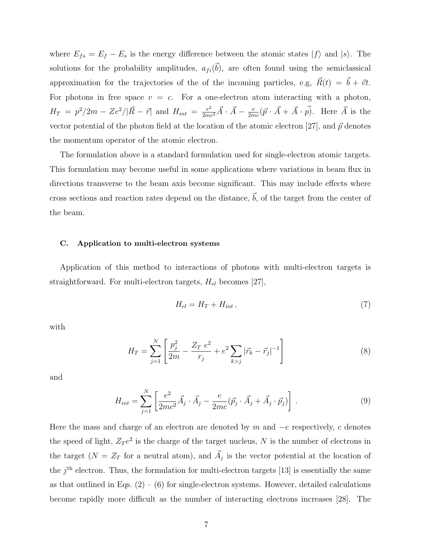where  $E_{fs} = E_f - E_s$  is the energy difference between the atomic states  $|f\rangle$  and  $|s\rangle$ . The solutions for the probability amplitudes,  $a_{fi}(\vec{b})$ , are often found using the semiclassical approximation for the trajectories of the of the incoming particles, e.g,  $\vec{R}(t) = \vec{b} + \vec{v}t$ . For photons in free space  $v = c$ . For a one-electron atom interacting with a photon,  $H_T = p^2/2m - Ze^2/|\vec{R} - \vec{r}|$  and  $H_{int} = \frac{e^2}{2mc^2}\vec{A} \cdot \vec{A} - \frac{e}{2m}$  $\frac{e}{2mc}(\vec{p}\cdot\vec{A}+\vec{A}\cdot\vec{p})$ . Here  $\vec{A}$  is the vector potential of the photon field at the location of the atomic electron [27], and  $\vec{p}$  denotes the momentum operator of the atomic electron.

The formulation above is a standard formulation used for single-electron atomic targets. This formulation may become useful in some applications where variations in beam flux in directions transverse to the beam axis become significant. This may include effects where cross sections and reaction rates depend on the distance,  $\vec{b}$ , of the target from the center of the beam.

#### C. Application to multi-electron systems

Application of this method to interactions of photons with multi-electron targets is straightforward. For multi-electron targets,  $H_{el}$  becomes [27],

$$
H_{el} = H_T + H_{int} \,,\tag{7}
$$

with

$$
H_T = \sum_{j=1}^{N} \left[ \frac{p_j^2}{2m} - \frac{Z_T e^2}{r_j} + e^2 \sum_{k>j} |\vec{r}_k - \vec{r}_j|^{-1} \right]
$$
(8)

and

$$
H_{int} = \sum_{j=1}^{N} \left[ \frac{e^2}{2mc^2} \vec{A}_j \cdot \vec{A}_j - \frac{e}{2mc} (\vec{p}_j \cdot \vec{A}_j + \vec{A}_j \cdot \vec{p}_j) \right]. \tag{9}
$$

Here the mass and charge of an electron are denoted by  $m$  and  $-e$  respectively,  $c$  denotes the speed of light,  $Z_T e^2$  is the charge of the target nucleus, N is the number of electrons in the target  $(N = Z_T)$  for a neutral atom), and  $\vec{A}_j$  is the vector potential at the location of the  $j<sup>th</sup>$  electron. Thus, the formulation for multi-electron targets [13] is essentially the same as that outlined in Eqs.  $(2) - (6)$  for single-electron systems. However, detailed calculations become rapidly more difficult as the number of interacting electrons increases [28]. The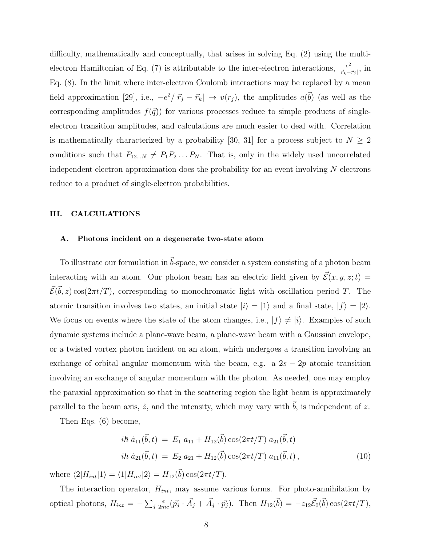difficulty, mathematically and conceptually, that arises in solving Eq. (2) using the multielectron Hamiltonian of Eq. (7) is attributable to the inter-electron interactions,  $\frac{e^2}{|\vec{r}_1 - \vec{r}_2|}$  $\frac{e^2}{|\vec{r}_k-\vec{r}_j|}$ , in Eq. (8). In the limit where inter-electron Coulomb interactions may be replaced by a mean field approximation [29], i.e.,  $-e^2/|\vec{r}_j - \vec{r}_k| \rightarrow v(r_j)$ , the amplitudes  $a(\vec{b})$  (as well as the corresponding amplitudes  $f(\vec{q})$  for various processes reduce to simple products of singleelectron transition amplitudes, and calculations are much easier to deal with. Correlation is mathematically characterized by a probability [30, 31] for a process subject to  $N \geq 2$ conditions such that  $P_{12...N} \neq P_1P_2...P_N$ . That is, only in the widely used uncorrelated independent electron approximation does the probability for an event involving  $N$  electrons reduce to a product of single-electron probabilities.

#### III. CALCULATIONS

## A. Photons incident on a degenerate two-state atom

To illustrate our formulation in  $\vec{b}$ -space, we consider a system consisting of a photon beam interacting with an atom. Our photon beam has an electric field given by  $\mathcal{E}(x, y, z; t) =$  $\vec{\mathcal{E}}(\vec{b}, z) \cos(2\pi t/T)$ , corresponding to monochromatic light with oscillation period T. The atomic transition involves two states, an initial state  $|i\rangle = |1\rangle$  and a final state,  $|f\rangle = |2\rangle$ . We focus on events where the state of the atom changes, i.e.,  $|f\rangle \neq |i\rangle$ . Examples of such dynamic systems include a plane-wave beam, a plane-wave beam with a Gaussian envelope, or a twisted vortex photon incident on an atom, which undergoes a transition involving an exchange of orbital angular momentum with the beam, e.g. a  $2s - 2p$  atomic transition involving an exchange of angular momentum with the photon. As needed, one may employ the paraxial approximation so that in the scattering region the light beam is approximately parallel to the beam axis,  $\hat{z}$ , and the intensity, which may vary with  $\vec{b}$ , is independent of z.

Then Eqs. (6) become,

$$
i\hbar \dot{a}_{11}(\vec{b},t) = E_1 a_{11} + H_{12}(\vec{b}) \cos(2\pi t/T) a_{21}(\vec{b},t)
$$
  
\n
$$
i\hbar \dot{a}_{21}(\vec{b},t) = E_2 a_{21} + H_{12}(\vec{b}) \cos(2\pi t/T) a_{11}(\vec{b},t),
$$
\n(10)

where  $\langle 2|H_{int}|1\rangle = \langle 1|H_{int}|2\rangle = H_{12}(\vec{b})\cos(2\pi t/T).$ 

The interaction operator,  $H_{int}$ , may assume various forms. For photo-annihilation by optical photons,  $H_{int} = -\sum_{j}$ e  $\frac{e}{2mc}(\vec{p_j} \cdot \vec{A}_j + \vec{A}_j \cdot \vec{p_j}).$  Then  $H_{12}(\vec{b}) = -z_{12}\vec{\mathcal{E}}_0(\vec{b})\cos(2\pi t/T),$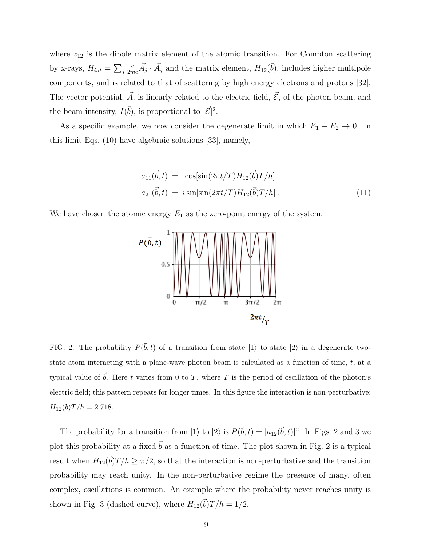where  $z_{12}$  is the dipole matrix element of the atomic transition. For Compton scattering by x-rays,  $H_{int} = \sum_j$  $\frac{e}{2mc}\vec{A}_j \cdot \vec{A}_j$  and the matrix element,  $H_{12}(\vec{b})$ , includes higher multipole components, and is related to that of scattering by high energy electrons and protons [32]. The vector potential,  $\vec{A}$ , is linearly related to the electric field,  $\vec{\mathcal{E}}$ , of the photon beam, and the beam intensity,  $I(\vec{b})$ , is proportional to  $|\vec{\mathcal{E}}|^2$ .

As a specific example, we now consider the degenerate limit in which  $E_1 - E_2 \rightarrow 0$ . In this limit Eqs. (10) have algebraic solutions [33], namely,

$$
a_{11}(\vec{b},t) = \cos[\sin(2\pi t/T)H_{12}(\vec{b})T/h]
$$
  
\n
$$
a_{21}(\vec{b},t) = i\sin[\sin(2\pi t/T)H_{12}(\vec{b})T/h].
$$
\n(11)

We have chosen the atomic energy  $E_1$  as the zero-point energy of the system.



FIG. 2: The probability  $P(\vec{b}, t)$  of a transition from state  $|1\rangle$  to state  $|2\rangle$  in a degenerate twostate atom interacting with a plane-wave photon beam is calculated as a function of time,  $t$ , at a typical value of  $\vec{b}$ . Here t varies from 0 to T, where T is the period of oscillation of the photon's electric field; this pattern repeats for longer times. In this figure the interaction is non-perturbative:  $H_{12}(\vec{b})T/h = 2.718.$ 

The probability for a transition from  $|1\rangle$  to  $|2\rangle$  is  $P(\vec{b}, t) = |a_{12}(\vec{b}, t)|^2$ . In Figs. 2 and 3 we plot this probability at a fixed  $\vec{b}$  as a function of time. The plot shown in Fig. 2 is a typical result when  $H_{12}(\vec{b})T/h \ge \pi/2$ , so that the interaction is non-perturbative and the transition probability may reach unity. In the non-perturbative regime the presence of many, often complex, oscillations is common. An example where the probability never reaches unity is shown in Fig. 3 (dashed curve), where  $H_{12}(\vec{b})T/h = 1/2$ .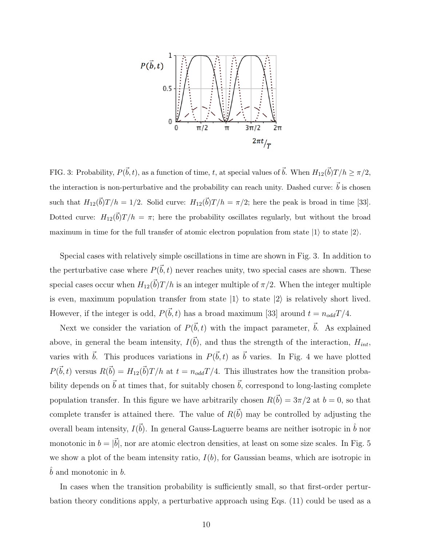

FIG. 3: Probability,  $P(\vec{b}, t)$ , as a function of time, t, at special values of  $\vec{b}$ . When  $H_{12}(\vec{b})T/h \geq \pi/2$ , the interaction is non-perturbative and the probability can reach unity. Dashed curve:  $\vec{b}$  is chosen such that  $H_{12}(\vec{b})T/h = 1/2$ . Solid curve:  $H_{12}(\vec{b})T/h = \pi/2$ ; here the peak is broad in time [33]. Dotted curve:  $H_{12}(\vec{b})T/h = \pi$ ; here the probability oscillates regularly, but without the broad maximum in time for the full transfer of atomic electron population from state  $|1\rangle$  to state  $|2\rangle$ .

Special cases with relatively simple oscillations in time are shown in Fig. 3. In addition to the perturbative case where  $P(\vec{b}, t)$  never reaches unity, two special cases are shown. These special cases occur when  $H_{12}(\vec{b})T/h$  is an integer multiple of  $\pi/2$ . When the integer multiple is even, maximum population transfer from state  $|1\rangle$  to state  $|2\rangle$  is relatively short lived. However, if the integer is odd,  $P(\vec{b}, t)$  has a broad maximum [33] around  $t = n_{odd}T/4$ .

Next we consider the variation of  $P(\vec{b}, t)$  with the impact parameter,  $\vec{b}$ . As explained above, in general the beam intensity,  $I(\vec{b})$ , and thus the strength of the interaction,  $H_{int}$ , varies with  $\vec{b}$ . This produces variations in  $P(\vec{b}, t)$  as  $\vec{b}$  varies. In Fig. 4 we have plotted  $P(\vec{b}, t)$  versus  $R(\vec{b}) = H_{12}(\vec{b})T/h$  at  $t = n_{odd}T/4$ . This illustrates how the transition probability depends on  $\vec{b}$  at times that, for suitably chosen  $\vec{b}$ , correspond to long-lasting complete population transfer. In this figure we have arbitrarily chosen  $R(\vec{b}) = 3\pi/2$  at  $b = 0$ , so that complete transfer is attained there. The value of  $R(\vec{b})$  may be controlled by adjusting the overall beam intensity,  $I(\vec{b})$ . In general Gauss-Laguerre beams are neither isotropic in  $\hat{b}$  nor monotonic in  $b = |\vec{b}|$ , nor are atomic electron densities, at least on some size scales. In Fig. 5 we show a plot of the beam intensity ratio,  $I(b)$ , for Gaussian beams, which are isotropic in  $\bar{b}$  and monotonic in  $\bar{b}$ .

In cases when the transition probability is sufficiently small, so that first-order perturbation theory conditions apply, a perturbative approach using Eqs. (11) could be used as a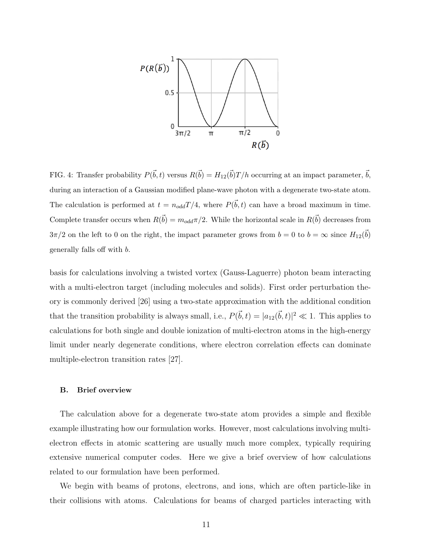

FIG. 4: Transfer probability  $P(\vec{b}, t)$  versus  $R(\vec{b}) = H_{12}(\vec{b})T/h$  occurring at an impact parameter,  $\vec{b}$ , during an interaction of a Gaussian modified plane-wave photon with a degenerate two-state atom. The calculation is performed at  $t = n_{odd}T/4$ , where  $P(\vec{b}, t)$  can have a broad maximum in time. Complete transfer occurs when  $R(\vec{b}) = m_{odd}\pi/2$ . While the horizontal scale in  $R(\vec{b})$  decreases from  $3\pi/2$  on the left to 0 on the right, the impact parameter grows from  $b=0$  to  $b=\infty$  since  $H_{12}(\vec{b})$ generally falls off with b.

basis for calculations involving a twisted vortex (Gauss-Laguerre) photon beam interacting with a multi-electron target (including molecules and solids). First order perturbation theory is commonly derived [26] using a two-state approximation with the additional condition that the transition probability is always small, i.e.,  $P(\vec{b}, t) = |a_{12}(\vec{b}, t)|^2 \ll 1$ . This applies to calculations for both single and double ionization of multi-electron atoms in the high-energy limit under nearly degenerate conditions, where electron correlation effects can dominate multiple-electron transition rates [27].

### B. Brief overview

The calculation above for a degenerate two-state atom provides a simple and flexible example illustrating how our formulation works. However, most calculations involving multielectron effects in atomic scattering are usually much more complex, typically requiring extensive numerical computer codes. Here we give a brief overview of how calculations related to our formulation have been performed.

We begin with beams of protons, electrons, and ions, which are often particle-like in their collisions with atoms. Calculations for beams of charged particles interacting with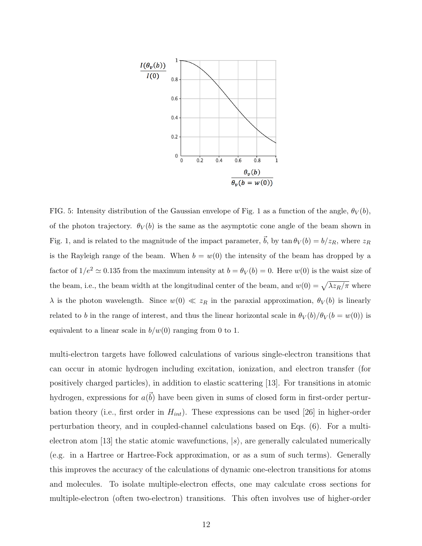

FIG. 5: Intensity distribution of the Gaussian envelope of Fig. 1 as a function of the angle,  $\theta_V(b)$ , of the photon trajectory.  $\theta_V(b)$  is the same as the asymptotic cone angle of the beam shown in Fig. 1, and is related to the magnitude of the impact parameter,  $\vec{b}$ , by tan  $\theta_V (b) = b/z_R$ , where  $z_R$ is the Rayleigh range of the beam. When  $b = w(0)$  the intensity of the beam has dropped by a factor of  $1/e^2 \simeq 0.135$  from the maximum intensity at  $b = \theta_V(b) = 0$ . Here  $w(0)$  is the waist size of the beam, i.e., the beam width at the longitudinal center of the beam, and  $w(0) = \sqrt{\lambda z_R/\pi}$  where  $\lambda$  is the photon wavelength. Since  $w(0) \ll z_R$  in the paraxial approximation,  $\theta_V(b)$  is linearly related to b in the range of interest, and thus the linear horizontal scale in  $\theta_V(b)/\theta_V(b = w(0))$  is equivalent to a linear scale in  $b/w(0)$  ranging from 0 to 1.

multi-electron targets have followed calculations of various single-electron transitions that can occur in atomic hydrogen including excitation, ionization, and electron transfer (for positively charged particles), in addition to elastic scattering [13]. For transitions in atomic hydrogen, expressions for  $a(\vec{b})$  have been given in sums of closed form in first-order perturbation theory (i.e., first order in  $H_{int}$ ). These expressions can be used [26] in higher-order perturbation theory, and in coupled-channel calculations based on Eqs. (6). For a multielectron atom [13] the static atomic wavefunctions,  $|s\rangle$ , are generally calculated numerically (e.g. in a Hartree or Hartree-Fock approximation, or as a sum of such terms). Generally this improves the accuracy of the calculations of dynamic one-electron transitions for atoms and molecules. To isolate multiple-electron effects, one may calculate cross sections for multiple-electron (often two-electron) transitions. This often involves use of higher-order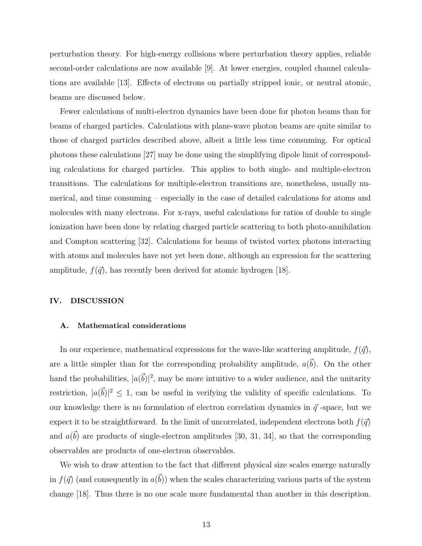perturbation theory. For high-energy collisions where perturbation theory applies, reliable second-order calculations are now available [9]. At lower energies, coupled channel calculations are available [13]. Effects of electrons on partially stripped ionic, or neutral atomic, beams are discussed below.

Fewer calculations of multi-electron dynamics have been done for photon beams than for beams of charged particles. Calculations with plane-wave photon beams are quite similar to those of charged particles described above, albeit a little less time consuming. For optical photons these calculations [27] may be done using the simplifying dipole limit of corresponding calculations for charged particles. This applies to both single- and multiple-electron transitions. The calculations for multiple-electron transitions are, nonetheless, usually numerical, and time consuming – especially in the case of detailed calculations for atoms and molecules with many electrons. For x-rays, useful calculations for ratios of double to single ionization have been done by relating charged particle scattering to both photo-annihilation and Compton scattering [32]. Calculations for beams of twisted vortex photons interacting with atoms and molecules have not yet been done, although an expression for the scattering amplitude,  $f(\vec{q})$ , has recently been derived for atomic hydrogen [18].

#### IV. DISCUSSION

## A. Mathematical considerations

In our experience, mathematical expressions for the wave-like scattering amplitude,  $f(\vec{q})$ , are a little simpler than for the corresponding probability amplitude,  $a(\vec{b})$ . On the other hand the probabilities,  $|a(\vec{b})|^2$ , may be more intuitive to a wider audience, and the unitarity restriction,  $|a(\vec{b})|^2 \leq 1$ , can be useful in verifying the validity of specific calculations. To our knowledge there is no formulation of electron correlation dynamics in  $\vec{q}$ -space, but we expect it to be straightforward. In the limit of uncorrelated, independent electrons both  $f(\vec{q})$ and  $a(\vec{b})$  are products of single-electron amplitudes [30, 31, 34], so that the corresponding observables are products of one-electron observables.

We wish to draw attention to the fact that different physical size scales emerge naturally in  $f(\vec{q})$  (and consequently in  $a(\vec{b})$ ) when the scales characterizing various parts of the system change [18]. Thus there is no one scale more fundamental than another in this description.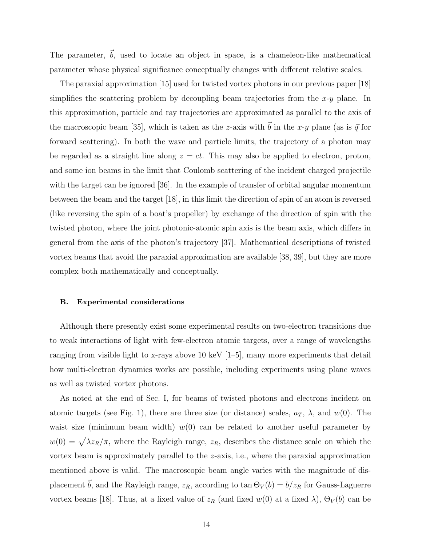The parameter,  $\vec{b}$ , used to locate an object in space, is a chameleon-like mathematical parameter whose physical significance conceptually changes with different relative scales.

The paraxial approximation [15] used for twisted vortex photons in our previous paper [18] simplifies the scattering problem by decoupling beam trajectories from the  $x-y$  plane. In this approximation, particle and ray trajectories are approximated as parallel to the axis of the macroscopic beam [35], which is taken as the z-axis with  $\vec{b}$  in the x-y plane (as is  $\vec{q}$  for forward scattering). In both the wave and particle limits, the trajectory of a photon may be regarded as a straight line along  $z = ct$ . This may also be applied to electron, proton, and some ion beams in the limit that Coulomb scattering of the incident charged projectile with the target can be ignored [36]. In the example of transfer of orbital angular momentum between the beam and the target [18], in this limit the direction of spin of an atom is reversed (like reversing the spin of a boat's propeller) by exchange of the direction of spin with the twisted photon, where the joint photonic-atomic spin axis is the beam axis, which differs in general from the axis of the photon's trajectory [37]. Mathematical descriptions of twisted vortex beams that avoid the paraxial approximation are available [38, 39], but they are more complex both mathematically and conceptually.

#### B. Experimental considerations

Although there presently exist some experimental results on two-electron transitions due to weak interactions of light with few-electron atomic targets, over a range of wavelengths ranging from visible light to x-rays above 10 keV  $[1–5]$ , many more experiments that detail how multi-electron dynamics works are possible, including experiments using plane waves as well as twisted vortex photons.

As noted at the end of Sec. I, for beams of twisted photons and electrons incident on atomic targets (see Fig. 1), there are three size (or distance) scales,  $a_T$ ,  $\lambda$ , and  $w(0)$ . The waist size (minimum beam width)  $w(0)$  can be related to another useful parameter by  $w(0) = \sqrt{\lambda z_R/\pi}$ , where the Rayleigh range,  $z_R$ , describes the distance scale on which the vortex beam is approximately parallel to the z-axis, i.e., where the paraxial approximation mentioned above is valid. The macroscopic beam angle varies with the magnitude of displacement  $\vec{b}$ , and the Rayleigh range,  $z_R$ , according to tan  $\Theta_V(b) = b/z_R$  for Gauss-Laguerre vortex beams [18]. Thus, at a fixed value of  $z_R$  (and fixed w(0) at a fixed  $\lambda$ ),  $\Theta_V(b)$  can be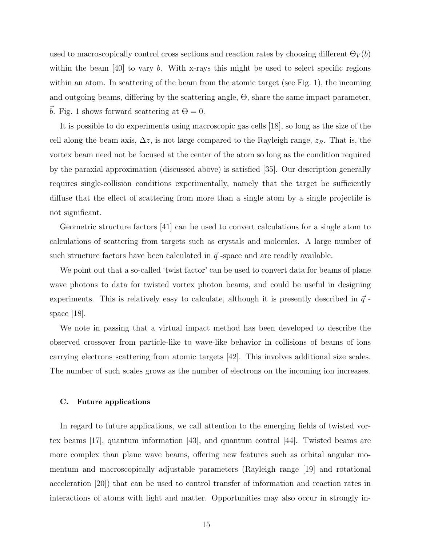used to macroscopically control cross sections and reaction rates by choosing different  $\Theta_V(b)$ within the beam  $[40]$  to vary b. With x-rays this might be used to select specific regions within an atom. In scattering of the beam from the atomic target (see Fig. 1), the incoming and outgoing beams, differing by the scattering angle, Θ, share the same impact parameter, b. Fig. 1 shows forward scattering at  $\Theta = 0$ .

It is possible to do experiments using macroscopic gas cells [18], so long as the size of the cell along the beam axis,  $\Delta z$ , is not large compared to the Rayleigh range,  $z_R$ . That is, the vortex beam need not be focused at the center of the atom so long as the condition required by the paraxial approximation (discussed above) is satisfied [35]. Our description generally requires single-collision conditions experimentally, namely that the target be sufficiently diffuse that the effect of scattering from more than a single atom by a single projectile is not significant.

Geometric structure factors [41] can be used to convert calculations for a single atom to calculations of scattering from targets such as crystals and molecules. A large number of such structure factors have been calculated in  $\vec{q}$ -space and are readily available.

We point out that a so-called 'twist factor' can be used to convert data for beams of plane wave photons to data for twisted vortex photon beams, and could be useful in designing experiments. This is relatively easy to calculate, although it is presently described in  $\vec{q}$ . space [18].

We note in passing that a virtual impact method has been developed to describe the observed crossover from particle-like to wave-like behavior in collisions of beams of ions carrying electrons scattering from atomic targets [42]. This involves additional size scales. The number of such scales grows as the number of electrons on the incoming ion increases.

#### C. Future applications

In regard to future applications, we call attention to the emerging fields of twisted vortex beams [17], quantum information [43], and quantum control [44]. Twisted beams are more complex than plane wave beams, offering new features such as orbital angular momentum and macroscopically adjustable parameters (Rayleigh range [19] and rotational acceleration [20]) that can be used to control transfer of information and reaction rates in interactions of atoms with light and matter. Opportunities may also occur in strongly in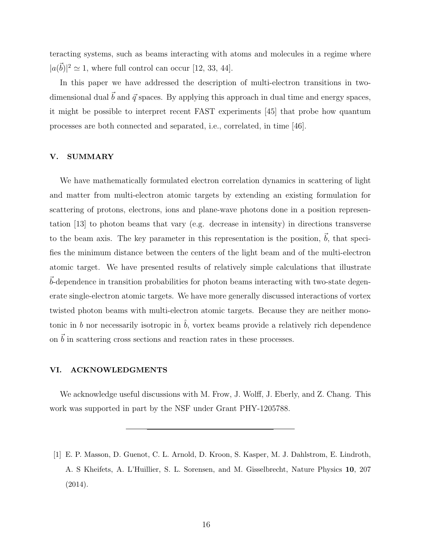teracting systems, such as beams interacting with atoms and molecules in a regime where  $|a(\vec{b})|^2 \simeq 1$ , where full control can occur [12, 33, 44].

In this paper we have addressed the description of multi-electron transitions in twodimensional dual  $\vec{b}$  and  $\vec{q}$  spaces. By applying this approach in dual time and energy spaces, it might be possible to interpret recent FAST experiments [45] that probe how quantum processes are both connected and separated, i.e., correlated, in time [46].

### V. SUMMARY

We have mathematically formulated electron correlation dynamics in scattering of light and matter from multi-electron atomic targets by extending an existing formulation for scattering of protons, electrons, ions and plane-wave photons done in a position representation [13] to photon beams that vary (e.g. decrease in intensity) in directions transverse to the beam axis. The key parameter in this representation is the position,  $\vec{b}$ , that specifies the minimum distance between the centers of the light beam and of the multi-electron atomic target. We have presented results of relatively simple calculations that illustrate  $b$ -dependence in transition probabilities for photon beams interacting with two-state degenerate single-electron atomic targets. We have more generally discussed interactions of vortex twisted photon beams with multi-electron atomic targets. Because they are neither monotonic in b nor necessarily isotropic in  $\hat{b}$ , vortex beams provide a relatively rich dependence on  $\vec{b}$  in scattering cross sections and reaction rates in these processes.

#### VI. ACKNOWLEDGMENTS

We acknowledge useful discussions with M. Frow, J. Wolff, J. Eberly, and Z. Chang. This work was supported in part by the NSF under Grant PHY-1205788.

[1] E. P. Masson, D. Guenot, C. L. Arnold, D. Kroon, S. Kasper, M. J. Dahlstrom, E. Lindroth, A. S Kheifets, A. L'Huillier, S. L. Sorensen, and M. Gisselbrecht, Nature Physics 10, 207 (2014).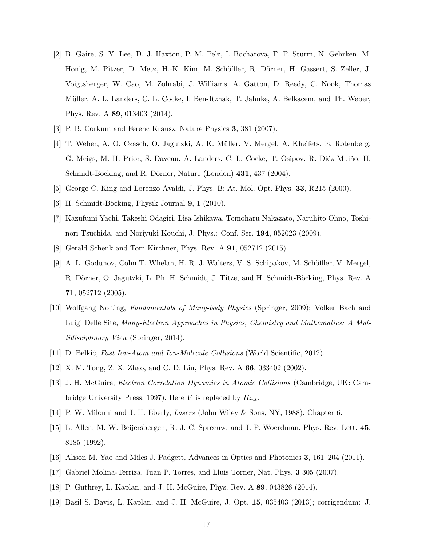- [2] B. Gaire, S. Y. Lee, D. J. Haxton, P. M. Pelz, I. Bocharova, F. P. Sturm, N. Gehrken, M. Honig, M. Pitzer, D. Metz, H.-K. Kim, M. Schöffler, R. Dörner, H. Gassert, S. Zeller, J. Voigtsberger, W. Cao, M. Zohrabi, J. Williams, A. Gatton, D. Reedy, C. Nook, Thomas Müller, A. L. Landers, C. L. Cocke, I. Ben-Itzhak, T. Jahnke, A. Belkacem, and Th. Weber, Phys. Rev. A 89, 013403 (2014).
- [3] P. B. Corkum and Ferenc Krausz, Nature Physics 3, 381 (2007).
- [4] T. Weber, A. O. Czasch, O. Jagutzki, A. K. M¨uller, V. Mergel, A. Kheifets, E. Rotenberg, G. Meigs, M. H. Prior, S. Daveau, A. Landers, C. L. Cocke, T. Osipov, R. Diéz Muiño, H. Schmidt-Böcking, and R. Dörner, Nature (London) 431, 437 (2004).
- [5] George C. King and Lorenzo Avaldi, J. Phys. B: At. Mol. Opt. Phys. 33, R215 (2000).
- [6] H. Schmidt-Böcking, Physik Journal 9, 1 (2010).
- [7] Kazufumi Yachi, Takeshi Odagiri, Lisa Ishikawa, Tomoharu Nakazato, Naruhito Ohno, Toshinori Tsuchida, and Noriyuki Kouchi, J. Phys.: Conf. Ser. 194, 052023 (2009).
- [8] Gerald Schenk and Tom Kirchner, Phys. Rev. A 91, 052712 (2015).
- [9] A. L. Godunov, Colm T. Whelan, H. R. J. Walters, V. S. Schipakov, M. Schöffler, V. Mergel, R. Dörner, O. Jagutzki, L. Ph. H. Schmidt, J. Titze, and H. Schmidt-Böcking, Phys. Rev. A 71, 052712 (2005).
- [10] Wolfgang Nolting, Fundamentals of Many-body Physics (Springer, 2009); Volker Bach and Luigi Delle Site, Many-Electron Approaches in Physics, Chemistry and Mathematics: A Multidisciplinary View (Springer, 2014).
- [11] D. Belkić, Fast Ion-Atom and Ion-Molecule Collisions (World Scientific, 2012).
- [12] X. M. Tong, Z. X. Zhao, and C. D. Lin, Phys. Rev. A 66, 033402 (2002).
- [13] J. H. McGuire, Electron Correlation Dynamics in Atomic Collisions (Cambridge, UK: Cambridge University Press, 1997). Here V is replaced by  $H_{int}$ .
- [14] P. W. Milonni and J. H. Eberly, Lasers (John Wiley & Sons, NY, 1988), Chapter 6.
- [15] L. Allen, M. W. Beijersbergen, R. J. C. Spreeuw, and J. P. Woerdman, Phys. Rev. Lett. 45, 8185 (1992).
- [16] Alison M. Yao and Miles J. Padgett, Advances in Optics and Photonics 3, 161–204 (2011).
- [17] Gabriel Molina-Terriza, Juan P. Torres, and Lluis Torner, Nat. Phys. 3 305 (2007).
- [18] P. Guthrey, L. Kaplan, and J. H. McGuire, Phys. Rev. A 89, 043826 (2014).
- [19] Basil S. Davis, L. Kaplan, and J. H. McGuire, J. Opt. 15, 035403 (2013); corrigendum: J.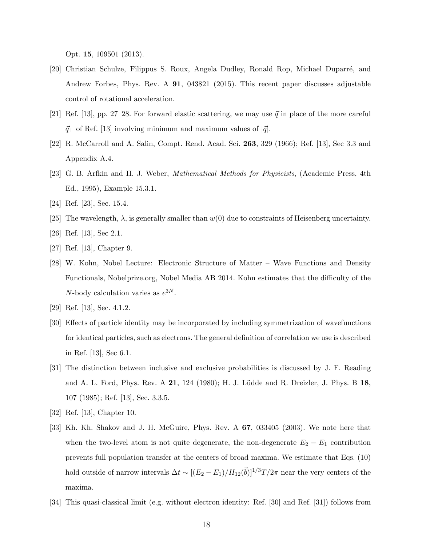Opt. 15, 109501 (2013).

- [20] Christian Schulze, Filippus S. Roux, Angela Dudley, Ronald Rop, Michael Duparré, and Andrew Forbes, Phys. Rev. A 91, 043821 (2015). This recent paper discusses adjustable control of rotational acceleration.
- [21] Ref. [13], pp. 27–28. For forward elastic scattering, we may use  $\vec{q}$  in place of the more careful  $\vec{q}_{\perp}$  of Ref. [13] involving minimum and maximum values of  $|\vec{q}|$ .
- [22] R. McCarroll and A. Salin, Compt. Rend. Acad. Sci. 263, 329 (1966); Ref. [13], Sec 3.3 and Appendix A.4.
- [23] G. B. Arfkin and H. J. Weber, Mathematical Methods for Physicists, (Academic Press, 4th Ed., 1995), Example 15.3.1.
- [24] Ref. [23], Sec. 15.4.
- [25] The wavelength,  $\lambda$ , is generally smaller than  $w(0)$  due to constraints of Heisenberg uncertainty.
- [26] Ref. [13], Sec 2.1.
- [27] Ref. [13], Chapter 9.
- [28] W. Kohn, Nobel Lecture: Electronic Structure of Matter Wave Functions and Density Functionals, Nobelprize.org, Nobel Media AB 2014. Kohn estimates that the difficulty of the N-body calculation varies as  $e^{3N}$ .
- [29] Ref. [13], Sec. 4.1.2.
- [30] Effects of particle identity may be incorporated by including symmetrization of wavefunctions for identical particles, such as electrons. The general definition of correlation we use is described in Ref. [13], Sec 6.1.
- [31] The distinction between inclusive and exclusive probabilities is discussed by J. F. Reading and A. L. Ford, Phys. Rev. A 21, 124 (1980); H. J. Lüdde and R. Dreizler, J. Phys. B 18, 107 (1985); Ref. [13], Sec. 3.3.5.
- [32] Ref. [13], Chapter 10.
- [33] Kh. Kh. Shakov and J. H. McGuire, Phys. Rev. A 67, 033405 (2003). We note here that when the two-level atom is not quite degenerate, the non-degenerate  $E_2 - E_1$  contribution prevents full population transfer at the centers of broad maxima. We estimate that Eqs. (10) hold outside of narrow intervals  $\Delta t \sim [(E_2 - E_1)/H_{12}(\vec{b})]^{1/3}T/2\pi$  near the very centers of the maxima.
- [34] This quasi-classical limit (e.g. without electron identity: Ref. [30] and Ref. [31]) follows from